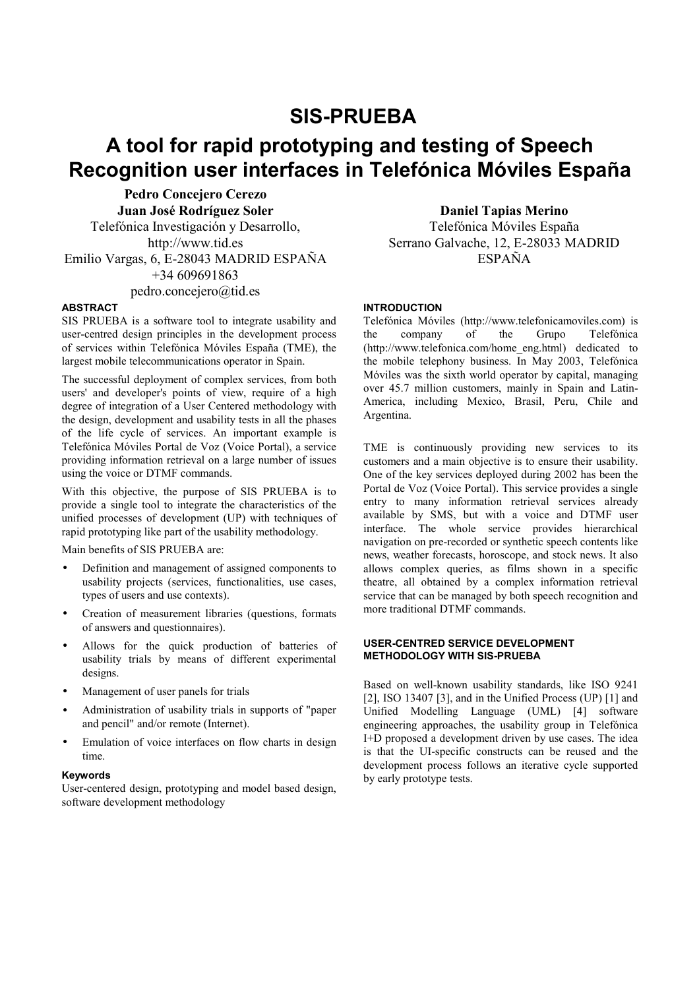# **SIS-PRUEBA**

# **A tool for rapid prototyping and testing of Speech Recognition user interfaces in Telefónica Móviles España**

**Pedro Concejero Cerezo Juan José Rodríguez Soler** Telefónica Investigación y Desarrollo, http://www.tid.es Emilio Vargas, 6, E-28043 MADRID ESPAÑA +34 609691863 pedro.concejero@tid.es

## **ABSTRACT**

SIS PRUEBA is a software tool to integrate usability and user-centred design principles in the development process of services within Telefónica Móviles España (TME), the largest mobile telecommunications operator in Spain.

The successful deployment of complex services, from both users' and developer's points of view, require of a high degree of integration of a User Centered methodology with the design, development and usability tests in all the phases of the life cycle of services. An important example is Telefónica Móviles Portal de Voz (Voice Portal), a service providing information retrieval on a large number of issues using the voice or DTMF commands.

With this objective, the purpose of SIS PRUEBA is to provide a single tool to integrate the characteristics of the unified processes of development (UP) with techniques of rapid prototyping like part of the usability methodology.

Main benefits of SIS PRUEBA are:

- Definition and management of assigned components to usability projects (services, functionalities, use cases, types of users and use contexts).
- Creation of measurement libraries (questions, formats of answers and questionnaires).
- Allows for the quick production of batteries of usability trials by means of different experimental designs.
- Management of user panels for trials
- Administration of usability trials in supports of "paper and pencil" and/or remote (Internet).
- Emulation of voice interfaces on flow charts in design time.

#### **Keywords**

User-centered design, prototyping and model based design, software development methodology

**Daniel Tapias Merino** 

Telefónica Móviles España Serrano Galvache, 12, E-28033 MADRID ESPAÑA

## **INTRODUCTION**

Telefónica Móviles (http://www.telefonicamoviles.com) is the company of the Grupo Telefónica (http://www.telefonica.com/home\_eng.html) dedicated to the mobile telephony business. In May 2003, Telefónica Móviles was the sixth world operator by capital, managing over 45.7 million customers, mainly in Spain and Latin-America, including Mexico, Brasil, Peru, Chile and Argentina.

TME is continuously providing new services to its customers and a main objective is to ensure their usability. One of the key services deployed during 2002 has been the Portal de Voz (Voice Portal). This service provides a single entry to many information retrieval services already available by SMS, but with a voice and DTMF user interface. The whole service provides hierarchical navigation on pre-recorded or synthetic speech contents like news, weather forecasts, horoscope, and stock news. It also allows complex queries, as films shown in a specific theatre, all obtained by a complex information retrieval service that can be managed by both speech recognition and more traditional DTMF commands.

#### **USER-CENTRED SERVICE DEVELOPMENT METHODOLOGY WITH SIS-PRUEBA**

Based on well-known usability standards, like ISO 9241 [2], ISO 13407 [3], and in the Unified Process (UP) [1] and Unified Modelling Language (UML) [4] software engineering approaches, the usability group in Telefónica I+D proposed a development driven by use cases. The idea is that the UI-specific constructs can be reused and the development process follows an iterative cycle supported by early prototype tests.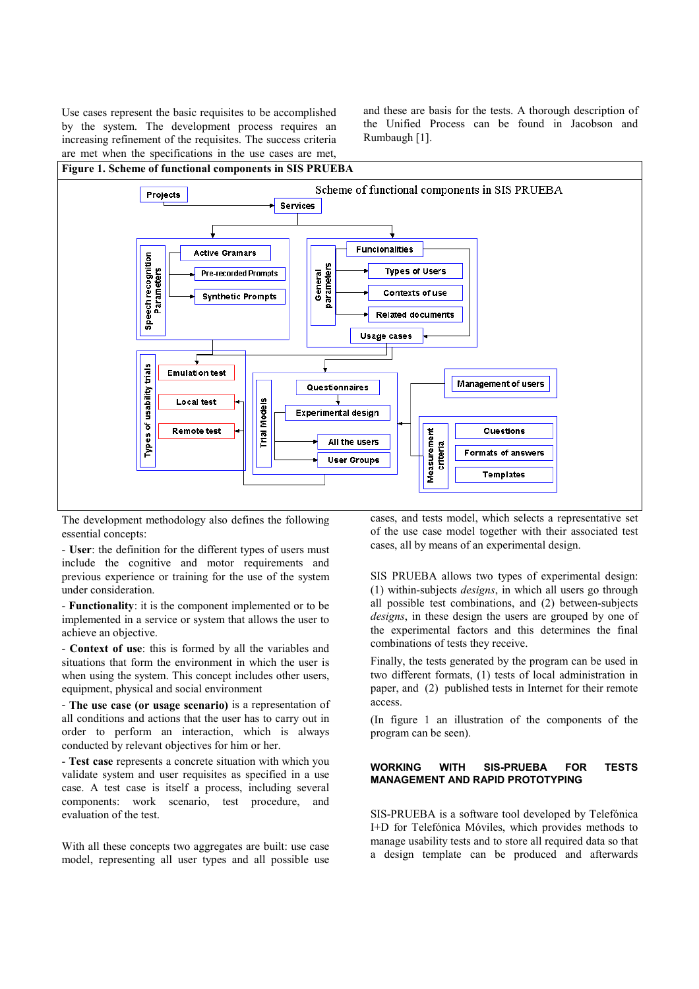Use cases represent the basic requisites to be accomplished by the system. The development process requires an increasing refinement of the requisites. The success criteria are met when the specifications in the use cases are met, and these are basis for the tests. A thorough description of the Unified Process can be found in Jacobson and Rumbaugh [1].

#### **Figure 1. Scheme of functional components in SIS PRUEBA**



The development methodology also defines the following essential concepts:

- **User**: the definition for the different types of users must include the cognitive and motor requirements and previous experience or training for the use of the system under consideration.

- **Functionality**: it is the component implemented or to be implemented in a service or system that allows the user to achieve an objective.

- **Context of use**: this is formed by all the variables and situations that form the environment in which the user is when using the system. This concept includes other users, equipment, physical and social environment

- **The use case (or usage scenario)** is a representation of all conditions and actions that the user has to carry out in order to perform an interaction, which is always conducted by relevant objectives for him or her.

- **Test case** represents a concrete situation with which you validate system and user requisites as specified in a use case. A test case is itself a process, including several components: work scenario, test procedure, and evaluation of the test.

With all these concepts two aggregates are built: use case model, representing all user types and all possible use cases, and tests model, which selects a representative set of the use case model together with their associated test cases, all by means of an experimental design.

SIS PRUEBA allows two types of experimental design: (1) within-subjects *designs*, in which all users go through all possible test combinations, and (2) between-subjects *designs*, in these design the users are grouped by one of the experimental factors and this determines the final combinations of tests they receive.

Finally, the tests generated by the program can be used in two different formats, (1) tests of local administration in paper, and (2) published tests in Internet for their remote access.

(In figure 1 an illustration of the components of the program can be seen).

# **WORKING WITH SIS-PRUEBA FOR TESTS MANAGEMENT AND RAPID PROTOTYPING**

SIS-PRUEBA is a software tool developed by Telefónica I+D for Telefónica Móviles, which provides methods to manage usability tests and to store all required data so that a design template can be produced and afterwards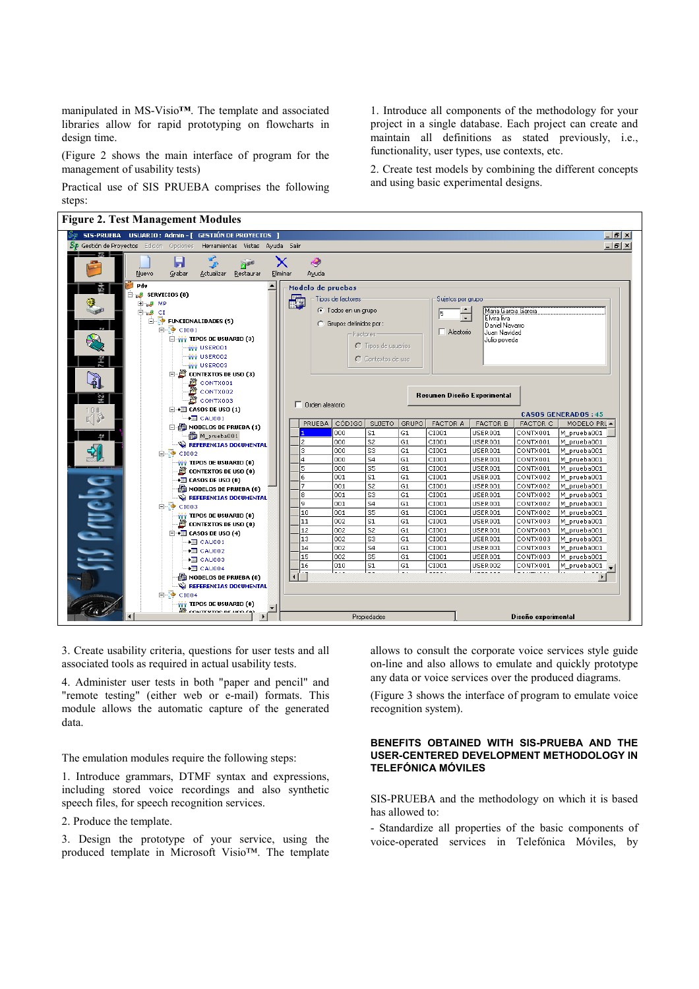manipulated in MS-Visio**™**. The template and associated libraries allow for rapid prototyping on flowcharts in design time.

(Figure 2 shows the main interface of program for the management of usability tests)

Practical use of SIS PRUEBA comprises the following steps:

#### **Figure 2. Test Management Modules**

1. Introduce all components of the methodology for your project in a single database. Each project can create and maintain all definitions as stated previously, i.e., functionality, user types, use contexts, etc.

2. Create test models by combining the different concepts and using basic experimental designs.



3. Create usability criteria, questions for user tests and all associated tools as required in actual usability tests.

4. Administer user tests in both "paper and pencil" and "remote testing" (either web or e-mail) formats. This module allows the automatic capture of the generated data.

The emulation modules require the following steps:

1. Introduce grammars, DTMF syntax and expressions, including stored voice recordings and also synthetic speech files, for speech recognition services.

# 2. Produce the template.

3. Design the prototype of your service, using the produced template in Microsoft Visio™. The template allows to consult the corporate voice services style guide on-line and also allows to emulate and quickly prototype any data or voice services over the produced diagrams.

(Figure 3 shows the interface of program to emulate voice recognition system).

## **BENEFITS OBTAINED WITH SIS-PRUEBA AND THE USER-CENTERED DEVELOPMENT METHODOLOGY IN TELEFÓNICA MÓVILES**

SIS-PRUEBA and the methodology on which it is based has allowed to:

- Standardize all properties of the basic components of voice-operated services in Telefónica Móviles, by